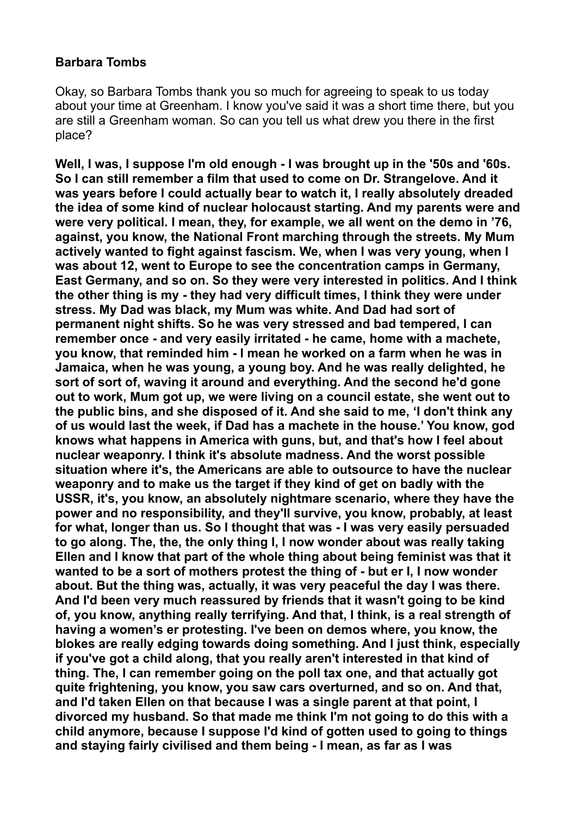## **Barbara Tombs**

Okay, so Barbara Tombs thank you so much for agreeing to speak to us today about your time at Greenham. I know you've said it was a short time there, but you are still a Greenham woman. So can you tell us what drew you there in the first place?

**Well, I was, I suppose I'm old enough - I was brought up in the '50s and '60s. So I can still remember a film that used to come on Dr. Strangelove. And it was years before I could actually bear to watch it, I really absolutely dreaded the idea of some kind of nuclear holocaust starting. And my parents were and were very political. I mean, they, for example, we all went on the demo in '76, against, you know, the National Front marching through the streets. My Mum actively wanted to fight against fascism. We, when I was very young, when I was about 12, went to Europe to see the concentration camps in Germany, East Germany, and so on. So they were very interested in politics. And I think the other thing is my - they had very difficult times, I think they were under stress. My Dad was black, my Mum was white. And Dad had sort of permanent night shifts. So he was very stressed and bad tempered, I can remember once - and very easily irritated - he came, home with a machete, you know, that reminded him - I mean he worked on a farm when he was in Jamaica, when he was young, a young boy. And he was really delighted, he sort of sort of, waving it around and everything. And the second he'd gone out to work, Mum got up, we were living on a council estate, she went out to the public bins, and she disposed of it. And she said to me, 'I don't think any of us would last the week, if Dad has a machete in the house.' You know, god knows what happens in America with guns, but, and that's how I feel about nuclear weaponry. I think it's absolute madness. And the worst possible situation where it's, the Americans are able to outsource to have the nuclear weaponry and to make us the target if they kind of get on badly with the USSR, it's, you know, an absolutely nightmare scenario, where they have the power and no responsibility, and they'll survive, you know, probably, at least for what, longer than us. So I thought that was - I was very easily persuaded to go along. The, the, the only thing I, I now wonder about was really taking Ellen and I know that part of the whole thing about being feminist was that it wanted to be a sort of mothers protest the thing of - but er I, I now wonder about. But the thing was, actually, it was very peaceful the day I was there. And I'd been very much reassured by friends that it wasn't going to be kind of, you know, anything really terrifying. And that, I think, is a real strength of having a women's er protesting. I've been on demos where, you know, the blokes are really edging towards doing something. And I just think, especially if you've got a child along, that you really aren't interested in that kind of thing. The, I can remember going on the poll tax one, and that actually got quite frightening, you know, you saw cars overturned, and so on. And that, and I'd taken Ellen on that because I was a single parent at that point, I divorced my husband. So that made me think I'm not going to do this with a child anymore, because I suppose I'd kind of gotten used to going to things and staying fairly civilised and them being - I mean, as far as I was**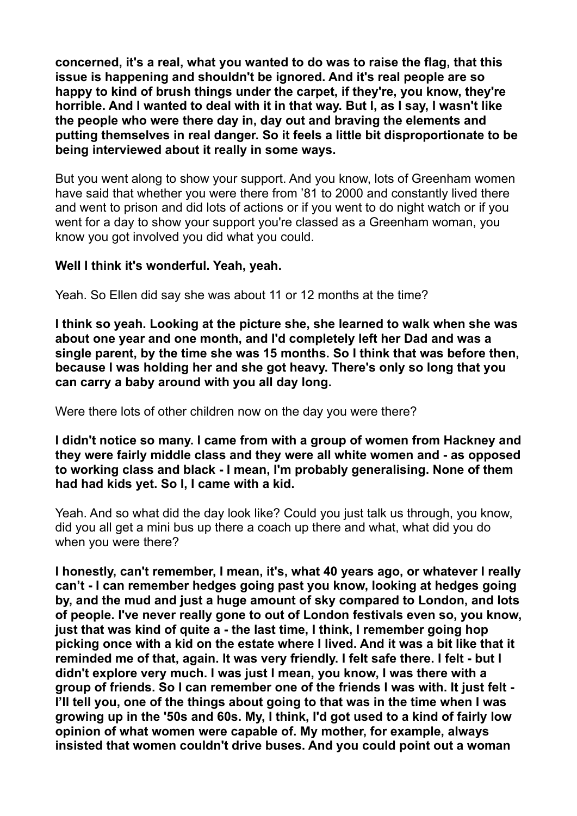**concerned, it's a real, what you wanted to do was to raise the flag, that this issue is happening and shouldn't be ignored. And it's real people are so happy to kind of brush things under the carpet, if they're, you know, they're horrible. And I wanted to deal with it in that way. But I, as I say, I wasn't like the people who were there day in, day out and braving the elements and putting themselves in real danger. So it feels a little bit disproportionate to be being interviewed about it really in some ways.** 

But you went along to show your support. And you know, lots of Greenham women have said that whether you were there from '81 to 2000 and constantly lived there and went to prison and did lots of actions or if you went to do night watch or if you went for a day to show your support you're classed as a Greenham woman, you know you got involved you did what you could.

## **Well I think it's wonderful. Yeah, yeah.**

Yeah. So Ellen did say she was about 11 or 12 months at the time?

**I think so yeah. Looking at the picture she, she learned to walk when she was about one year and one month, and I'd completely left her Dad and was a single parent, by the time she was 15 months. So I think that was before then, because I was holding her and she got heavy. There's only so long that you can carry a baby around with you all day long.** 

Were there lots of other children now on the day you were there?

**I didn't notice so many. I came from with a group of women from Hackney and they were fairly middle class and they were all white women and - as opposed to working class and black - I mean, I'm probably generalising. None of them had had kids yet. So I, I came with a kid.** 

Yeah. And so what did the day look like? Could you just talk us through, you know, did you all get a mini bus up there a coach up there and what, what did you do when you were there?

**I honestly, can't remember, I mean, it's, what 40 years ago, or whatever I really can't - I can remember hedges going past you know, looking at hedges going by, and the mud and just a huge amount of sky compared to London, and lots of people. I've never really gone to out of London festivals even so, you know, just that was kind of quite a - the last time, I think, I remember going hop picking once with a kid on the estate where I lived. And it was a bit like that it reminded me of that, again. It was very friendly. I felt safe there. I felt - but I didn't explore very much. I was just I mean, you know, I was there with a group of friends. So I can remember one of the friends I was with. It just felt - I'll tell you, one of the things about going to that was in the time when I was growing up in the '50s and 60s. My, I think, I'd got used to a kind of fairly low opinion of what women were capable of. My mother, for example, always insisted that women couldn't drive buses. And you could point out a woman**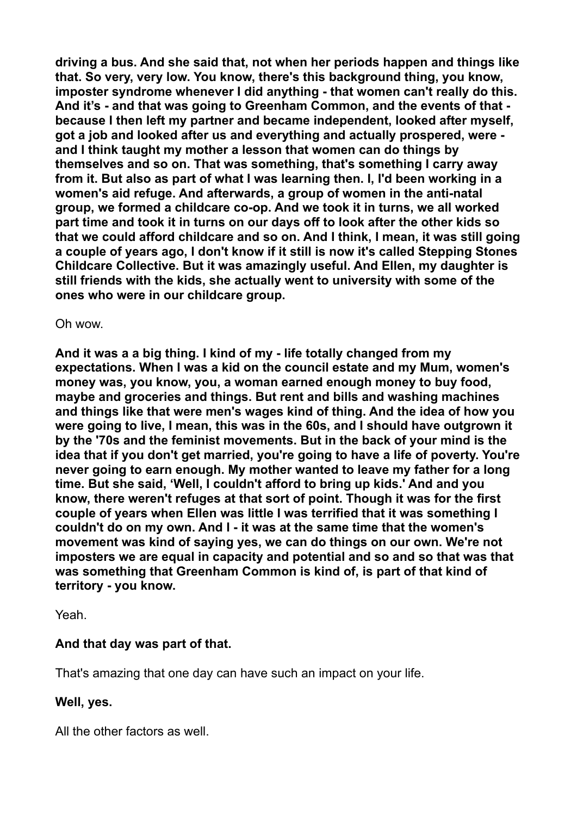**driving a bus. And she said that, not when her periods happen and things like that. So very, very low. You know, there's this background thing, you know, imposter syndrome whenever I did anything - that women can't really do this. And it's - and that was going to Greenham Common, and the events of that because I then left my partner and became independent, looked after myself, got a job and looked after us and everything and actually prospered, were and I think taught my mother a lesson that women can do things by themselves and so on. That was something, that's something I carry away from it. But also as part of what I was learning then. I, I'd been working in a women's aid refuge. And afterwards, a group of women in the anti-natal group, we formed a childcare co-op. And we took it in turns, we all worked part time and took it in turns on our days off to look after the other kids so that we could afford childcare and so on. And I think, I mean, it was still going a couple of years ago, I don't know if it still is now it's called Stepping Stones Childcare Collective. But it was amazingly useful. And Ellen, my daughter is still friends with the kids, she actually went to university with some of the ones who were in our childcare group.** 

Oh wow.

**And it was a a big thing. I kind of my - life totally changed from my expectations. When I was a kid on the council estate and my Mum, women's money was, you know, you, a woman earned enough money to buy food, maybe and groceries and things. But rent and bills and washing machines and things like that were men's wages kind of thing. And the idea of how you were going to live, I mean, this was in the 60s, and I should have outgrown it by the '70s and the feminist movements. But in the back of your mind is the idea that if you don't get married, you're going to have a life of poverty. You're never going to earn enough. My mother wanted to leave my father for a long time. But she said, 'Well, I couldn't afford to bring up kids.' And and you know, there weren't refuges at that sort of point. Though it was for the first couple of years when Ellen was little I was terrified that it was something I couldn't do on my own. And I - it was at the same time that the women's movement was kind of saying yes, we can do things on our own. We're not imposters we are equal in capacity and potential and so and so that was that was something that Greenham Common is kind of, is part of that kind of territory - you know.** 

Yeah.

# **And that day was part of that.**

That's amazing that one day can have such an impact on your life.

# **Well, yes.**

All the other factors as well.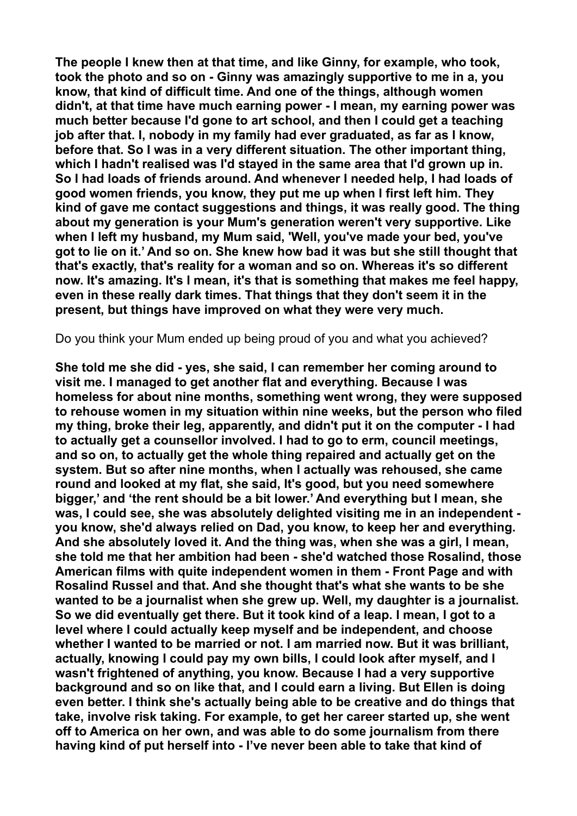**The people I knew then at that time, and like Ginny, for example, who took, took the photo and so on - Ginny was amazingly supportive to me in a, you know, that kind of difficult time. And one of the things, although women didn't, at that time have much earning power - I mean, my earning power was much better because I'd gone to art school, and then I could get a teaching job after that. I, nobody in my family had ever graduated, as far as I know, before that. So I was in a very different situation. The other important thing, which I hadn't realised was I'd stayed in the same area that I'd grown up in. So I had loads of friends around. And whenever I needed help, I had loads of good women friends, you know, they put me up when I first left him. They kind of gave me contact suggestions and things, it was really good. The thing about my generation is your Mum's generation weren't very supportive. Like when I left my husband, my Mum said, 'Well, you've made your bed, you've got to lie on it.' And so on. She knew how bad it was but she still thought that that's exactly, that's reality for a woman and so on. Whereas it's so different now. It's amazing. It's I mean, it's that is something that makes me feel happy, even in these really dark times. That things that they don't seem it in the present, but things have improved on what they were very much.** 

Do you think your Mum ended up being proud of you and what you achieved?

**She told me she did - yes, she said, I can remember her coming around to visit me. I managed to get another flat and everything. Because I was homeless for about nine months, something went wrong, they were supposed to rehouse women in my situation within nine weeks, but the person who filed my thing, broke their leg, apparently, and didn't put it on the computer - I had to actually get a counsellor involved. I had to go to erm, council meetings, and so on, to actually get the whole thing repaired and actually get on the system. But so after nine months, when I actually was rehoused, she came round and looked at my flat, she said, It's good, but you need somewhere bigger,' and 'the rent should be a bit lower.' And everything but I mean, she was, I could see, she was absolutely delighted visiting me in an independent you know, she'd always relied on Dad, you know, to keep her and everything. And she absolutely loved it. And the thing was, when she was a girl, I mean, she told me that her ambition had been - she'd watched those Rosalind, those American films with quite independent women in them - Front Page and with Rosalind Russel and that. And she thought that's what she wants to be she wanted to be a journalist when she grew up. Well, my daughter is a journalist. So we did eventually get there. But it took kind of a leap. I mean, I got to a level where I could actually keep myself and be independent, and choose whether I wanted to be married or not. I am married now. But it was brilliant, actually, knowing I could pay my own bills, I could look after myself, and I wasn't frightened of anything, you know. Because I had a very supportive background and so on like that, and I could earn a living. But Ellen is doing even better. I think she's actually being able to be creative and do things that take, involve risk taking. For example, to get her career started up, she went off to America on her own, and was able to do some journalism from there having kind of put herself into - I've never been able to take that kind of**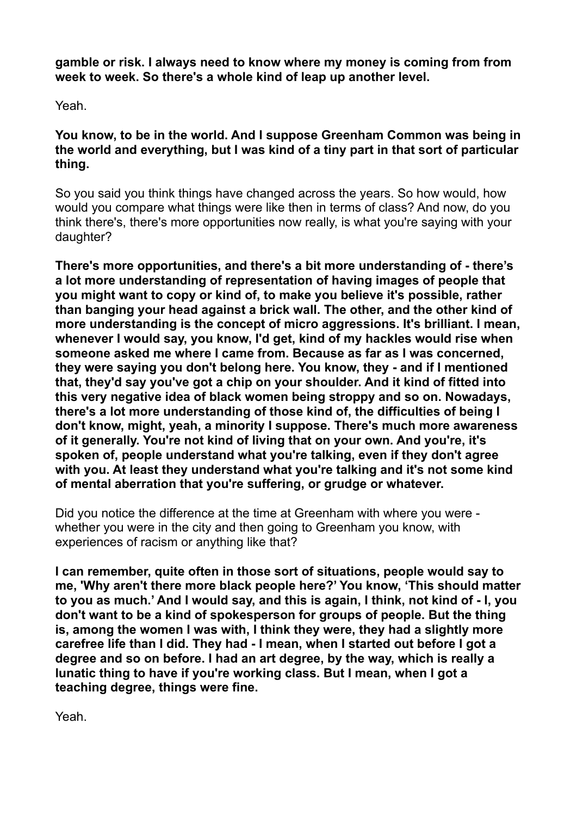**gamble or risk. I always need to know where my money is coming from from week to week. So there's a whole kind of leap up another level.** 

Yeah.

**You know, to be in the world. And I suppose Greenham Common was being in the world and everything, but I was kind of a tiny part in that sort of particular thing.** 

So you said you think things have changed across the years. So how would, how would you compare what things were like then in terms of class? And now, do you think there's, there's more opportunities now really, is what you're saying with your daughter?

**There's more opportunities, and there's a bit more understanding of - there's a lot more understanding of representation of having images of people that you might want to copy or kind of, to make you believe it's possible, rather than banging your head against a brick wall. The other, and the other kind of more understanding is the concept of micro aggressions. It's brilliant. I mean, whenever I would say, you know, I'd get, kind of my hackles would rise when someone asked me where I came from. Because as far as I was concerned, they were saying you don't belong here. You know, they - and if I mentioned that, they'd say you've got a chip on your shoulder. And it kind of fitted into this very negative idea of black women being stroppy and so on. Nowadays, there's a lot more understanding of those kind of, the difficulties of being I don't know, might, yeah, a minority I suppose. There's much more awareness of it generally. You're not kind of living that on your own. And you're, it's spoken of, people understand what you're talking, even if they don't agree with you. At least they understand what you're talking and it's not some kind of mental aberration that you're suffering, or grudge or whatever.** 

Did you notice the difference at the time at Greenham with where you were whether you were in the city and then going to Greenham you know, with experiences of racism or anything like that?

**I can remember, quite often in those sort of situations, people would say to me, 'Why aren't there more black people here?' You know, 'This should matter to you as much.' And I would say, and this is again, I think, not kind of - I, you don't want to be a kind of spokesperson for groups of people. But the thing is, among the women I was with, I think they were, they had a slightly more carefree life than I did. They had - I mean, when I started out before I got a degree and so on before. I had an art degree, by the way, which is really a lunatic thing to have if you're working class. But I mean, when I got a teaching degree, things were fine.** 

Yeah.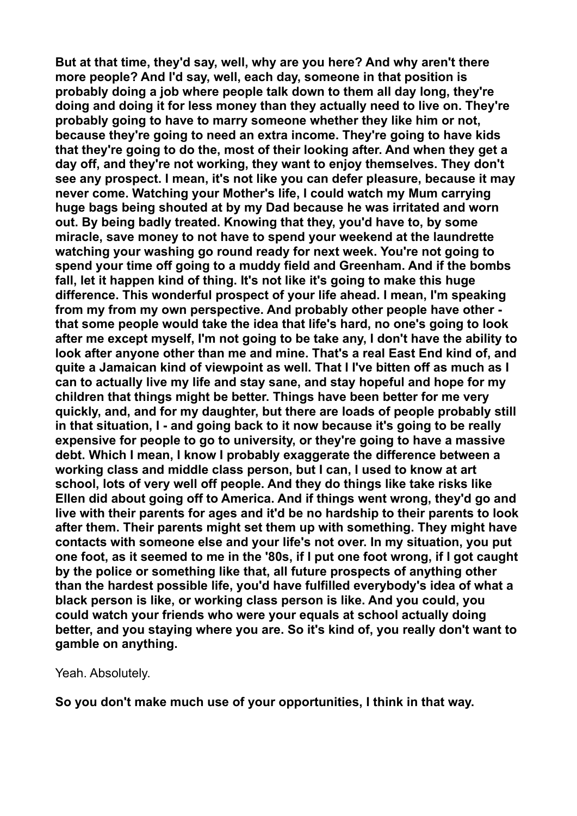**But at that time, they'd say, well, why are you here? And why aren't there more people? And I'd say, well, each day, someone in that position is probably doing a job where people talk down to them all day long, they're doing and doing it for less money than they actually need to live on. They're probably going to have to marry someone whether they like him or not, because they're going to need an extra income. They're going to have kids that they're going to do the, most of their looking after. And when they get a day off, and they're not working, they want to enjoy themselves. They don't see any prospect. I mean, it's not like you can defer pleasure, because it may never come. Watching your Mother's life, I could watch my Mum carrying huge bags being shouted at by my Dad because he was irritated and worn out. By being badly treated. Knowing that they, you'd have to, by some miracle, save money to not have to spend your weekend at the laundrette watching your washing go round ready for next week. You're not going to spend your time off going to a muddy field and Greenham. And if the bombs fall, let it happen kind of thing. It's not like it's going to make this huge difference. This wonderful prospect of your life ahead. I mean, I'm speaking from my from my own perspective. And probably other people have other that some people would take the idea that life's hard, no one's going to look after me except myself, I'm not going to be take any, I don't have the ability to look after anyone other than me and mine. That's a real East End kind of, and quite a Jamaican kind of viewpoint as well. That I I've bitten off as much as I can to actually live my life and stay sane, and stay hopeful and hope for my children that things might be better. Things have been better for me very quickly, and, and for my daughter, but there are loads of people probably still in that situation, I - and going back to it now because it's going to be really expensive for people to go to university, or they're going to have a massive debt. Which I mean, I know I probably exaggerate the difference between a working class and middle class person, but I can, I used to know at art school, lots of very well off people. And they do things like take risks like Ellen did about going off to America. And if things went wrong, they'd go and live with their parents for ages and it'd be no hardship to their parents to look after them. Their parents might set them up with something. They might have contacts with someone else and your life's not over. In my situation, you put one foot, as it seemed to me in the '80s, if I put one foot wrong, if I got caught by the police or something like that, all future prospects of anything other than the hardest possible life, you'd have fulfilled everybody's idea of what a black person is like, or working class person is like. And you could, you could watch your friends who were your equals at school actually doing better, and you staying where you are. So it's kind of, you really don't want to gamble on anything.** 

Yeah. Absolutely.

**So you don't make much use of your opportunities, I think in that way.**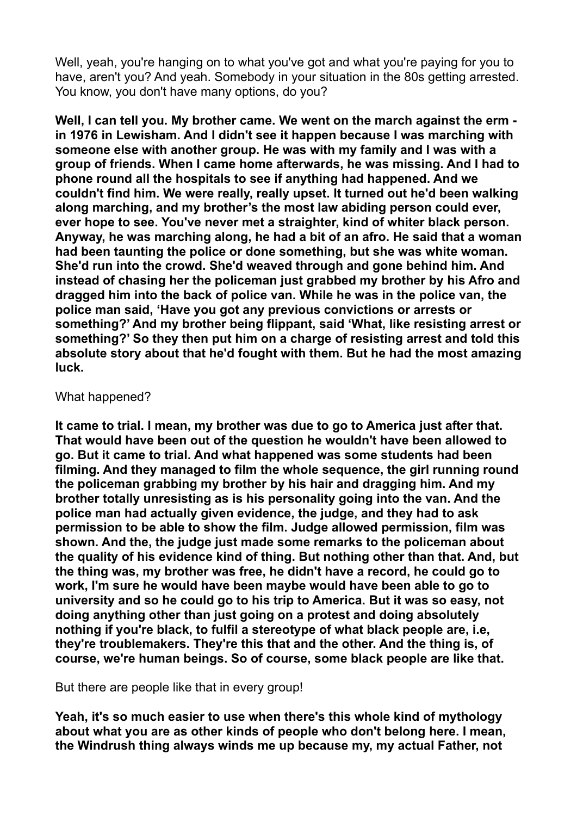Well, yeah, you're hanging on to what you've got and what you're paying for you to have, aren't you? And yeah. Somebody in your situation in the 80s getting arrested. You know, you don't have many options, do you?

**Well, I can tell you. My brother came. We went on the march against the erm in 1976 in Lewisham. And I didn't see it happen because I was marching with someone else with another group. He was with my family and I was with a group of friends. When I came home afterwards, he was missing. And I had to phone round all the hospitals to see if anything had happened. And we couldn't find him. We were really, really upset. It turned out he'd been walking along marching, and my brother's the most law abiding person could ever, ever hope to see. You've never met a straighter, kind of whiter black person. Anyway, he was marching along, he had a bit of an afro. He said that a woman had been taunting the police or done something, but she was white woman. She'd run into the crowd. She'd weaved through and gone behind him. And instead of chasing her the policeman just grabbed my brother by his Afro and dragged him into the back of police van. While he was in the police van, the police man said, 'Have you got any previous convictions or arrests or something?' And my brother being flippant, said 'What, like resisting arrest or something?' So they then put him on a charge of resisting arrest and told this absolute story about that he'd fought with them. But he had the most amazing luck.** 

#### What happened?

**It came to trial. I mean, my brother was due to go to America just after that. That would have been out of the question he wouldn't have been allowed to go. But it came to trial. And what happened was some students had been filming. And they managed to film the whole sequence, the girl running round the policeman grabbing my brother by his hair and dragging him. And my brother totally unresisting as is his personality going into the van. And the police man had actually given evidence, the judge, and they had to ask permission to be able to show the film. Judge allowed permission, film was shown. And the, the judge just made some remarks to the policeman about the quality of his evidence kind of thing. But nothing other than that. And, but the thing was, my brother was free, he didn't have a record, he could go to work, I'm sure he would have been maybe would have been able to go to university and so he could go to his trip to America. But it was so easy, not doing anything other than just going on a protest and doing absolutely nothing if you're black, to fulfil a stereotype of what black people are, i.e, they're troublemakers. They're this that and the other. And the thing is, of course, we're human beings. So of course, some black people are like that.** 

But there are people like that in every group!

**Yeah, it's so much easier to use when there's this whole kind of mythology about what you are as other kinds of people who don't belong here. I mean, the Windrush thing always winds me up because my, my actual Father, not**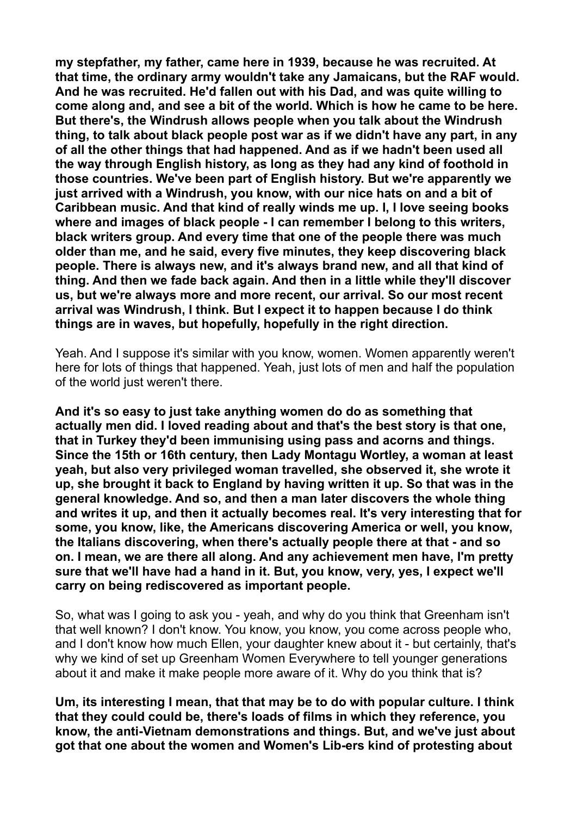**my stepfather, my father, came here in 1939, because he was recruited. At that time, the ordinary army wouldn't take any Jamaicans, but the RAF would. And he was recruited. He'd fallen out with his Dad, and was quite willing to come along and, and see a bit of the world. Which is how he came to be here. But there's, the Windrush allows people when you talk about the Windrush thing, to talk about black people post war as if we didn't have any part, in any of all the other things that had happened. And as if we hadn't been used all the way through English history, as long as they had any kind of foothold in those countries. We've been part of English history. But we're apparently we just arrived with a Windrush, you know, with our nice hats on and a bit of Caribbean music. And that kind of really winds me up. I, I love seeing books where and images of black people - I can remember I belong to this writers, black writers group. And every time that one of the people there was much older than me, and he said, every five minutes, they keep discovering black people. There is always new, and it's always brand new, and all that kind of thing. And then we fade back again. And then in a little while they'll discover us, but we're always more and more recent, our arrival. So our most recent arrival was Windrush, I think. But I expect it to happen because I do think things are in waves, but hopefully, hopefully in the right direction.** 

Yeah. And I suppose it's similar with you know, women. Women apparently weren't here for lots of things that happened. Yeah, just lots of men and half the population of the world just weren't there.

**And it's so easy to just take anything women do do as something that actually men did. I loved reading about and that's the best story is that one, that in Turkey they'd been immunising using pass and acorns and things. Since the 15th or 16th century, then Lady Montagu Wortley, a woman at least yeah, but also very privileged woman travelled, she observed it, she wrote it up, she brought it back to England by having written it up. So that was in the general knowledge. And so, and then a man later discovers the whole thing and writes it up, and then it actually becomes real. It's very interesting that for some, you know, like, the Americans discovering America or well, you know, the Italians discovering, when there's actually people there at that - and so on. I mean, we are there all along. And any achievement men have, I'm pretty sure that we'll have had a hand in it. But, you know, very, yes, I expect we'll carry on being rediscovered as important people.** 

So, what was I going to ask you - yeah, and why do you think that Greenham isn't that well known? I don't know. You know, you know, you come across people who, and I don't know how much Ellen, your daughter knew about it - but certainly, that's why we kind of set up Greenham Women Everywhere to tell younger generations about it and make it make people more aware of it. Why do you think that is?

**Um, its interesting I mean, that that may be to do with popular culture. I think that they could could be, there's loads of films in which they reference, you know, the anti-Vietnam demonstrations and things. But, and we've just about got that one about the women and Women's Lib-ers kind of protesting about**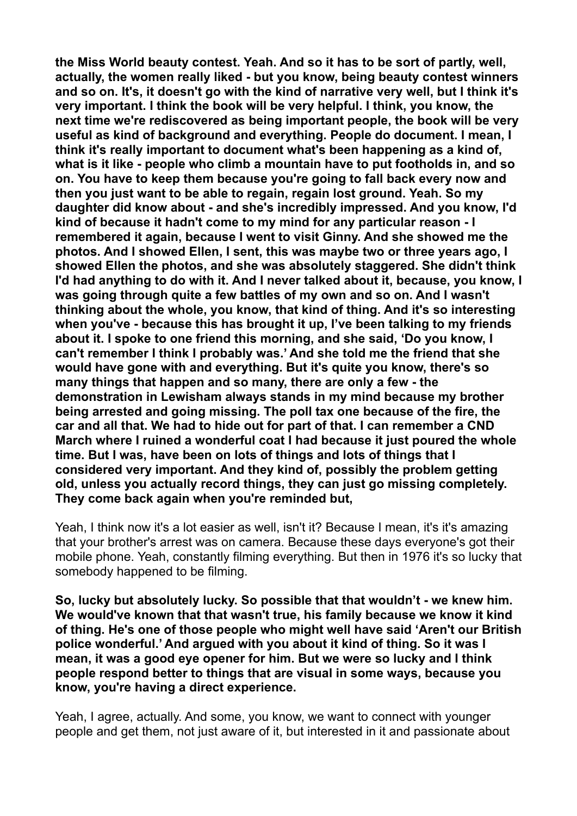**the Miss World beauty contest. Yeah. And so it has to be sort of partly, well, actually, the women really liked - but you know, being beauty contest winners and so on. It's, it doesn't go with the kind of narrative very well, but I think it's very important. I think the book will be very helpful. I think, you know, the next time we're rediscovered as being important people, the book will be very useful as kind of background and everything. People do document. I mean, I think it's really important to document what's been happening as a kind of, what is it like - people who climb a mountain have to put footholds in, and so on. You have to keep them because you're going to fall back every now and then you just want to be able to regain, regain lost ground. Yeah. So my daughter did know about - and she's incredibly impressed. And you know, I'd kind of because it hadn't come to my mind for any particular reason - I remembered it again, because I went to visit Ginny. And she showed me the photos. And I showed Ellen, I sent, this was maybe two or three years ago, I showed Ellen the photos, and she was absolutely staggered. She didn't think I'd had anything to do with it. And I never talked about it, because, you know, I was going through quite a few battles of my own and so on. And I wasn't thinking about the whole, you know, that kind of thing. And it's so interesting when you've - because this has brought it up, I've been talking to my friends about it. I spoke to one friend this morning, and she said, 'Do you know, I can't remember I think I probably was.' And she told me the friend that she would have gone with and everything. But it's quite you know, there's so many things that happen and so many, there are only a few - the demonstration in Lewisham always stands in my mind because my brother being arrested and going missing. The poll tax one because of the fire, the car and all that. We had to hide out for part of that. I can remember a CND March where I ruined a wonderful coat I had because it just poured the whole time. But I was, have been on lots of things and lots of things that I considered very important. And they kind of, possibly the problem getting old, unless you actually record things, they can just go missing completely. They come back again when you're reminded but,** 

Yeah, I think now it's a lot easier as well, isn't it? Because I mean, it's it's amazing that your brother's arrest was on camera. Because these days everyone's got their mobile phone. Yeah, constantly filming everything. But then in 1976 it's so lucky that somebody happened to be filming.

**So, lucky but absolutely lucky. So possible that that wouldn't - we knew him. We would've known that that wasn't true, his family because we know it kind of thing. He's one of those people who might well have said 'Aren't our British police wonderful.' And argued with you about it kind of thing. So it was I mean, it was a good eye opener for him. But we were so lucky and I think people respond better to things that are visual in some ways, because you know, you're having a direct experience.** 

Yeah, I agree, actually. And some, you know, we want to connect with younger people and get them, not just aware of it, but interested in it and passionate about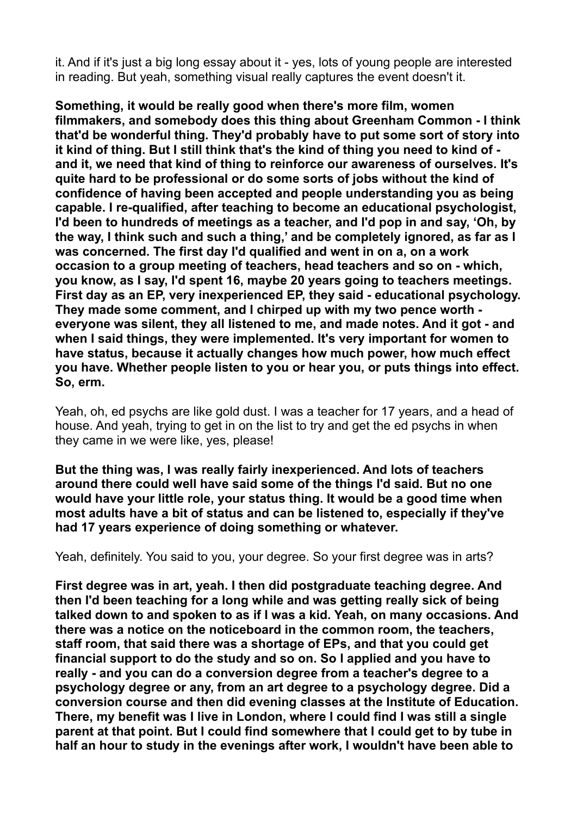it. And if it's just a big long essay about it - yes, lots of young people are interested in reading. But yeah, something visual really captures the event doesn't it.

**Something, it would be really good when there's more film, women filmmakers, and somebody does this thing about Greenham Common - I think that'd be wonderful thing. They'd probably have to put some sort of story into it kind of thing. But I still think that's the kind of thing you need to kind of and it, we need that kind of thing to reinforce our awareness of ourselves. It's quite hard to be professional or do some sorts of jobs without the kind of confidence of having been accepted and people understanding you as being capable. I re-qualified, after teaching to become an educational psychologist, I'd been to hundreds of meetings as a teacher, and I'd pop in and say, 'Oh, by the way, I think such and such a thing,' and be completely ignored, as far as I was concerned. The first day I'd qualified and went in on a, on a work occasion to a group meeting of teachers, head teachers and so on - which, you know, as I say, I'd spent 16, maybe 20 years going to teachers meetings. First day as an EP, very inexperienced EP, they said - educational psychology. They made some comment, and I chirped up with my two pence worth everyone was silent, they all listened to me, and made notes. And it got - and when I said things, they were implemented. It's very important for women to have status, because it actually changes how much power, how much effect you have. Whether people listen to you or hear you, or puts things into effect. So, erm.** 

Yeah, oh, ed psychs are like gold dust. I was a teacher for 17 years, and a head of house. And yeah, trying to get in on the list to try and get the ed psychs in when they came in we were like, yes, please!

**But the thing was, I was really fairly inexperienced. And lots of teachers around there could well have said some of the things I'd said. But no one would have your little role, your status thing. It would be a good time when most adults have a bit of status and can be listened to, especially if they've had 17 years experience of doing something or whatever.** 

Yeah, definitely. You said to you, your degree. So your first degree was in arts?

**First degree was in art, yeah. I then did postgraduate teaching degree. And then I'd been teaching for a long while and was getting really sick of being talked down to and spoken to as if I was a kid. Yeah, on many occasions. And there was a notice on the noticeboard in the common room, the teachers, staff room, that said there was a shortage of EPs, and that you could get financial support to do the study and so on. So I applied and you have to really - and you can do a conversion degree from a teacher's degree to a psychology degree or any, from an art degree to a psychology degree. Did a conversion course and then did evening classes at the Institute of Education. There, my benefit was I live in London, where I could find I was still a single parent at that point. But I could find somewhere that I could get to by tube in half an hour to study in the evenings after work, I wouldn't have been able to**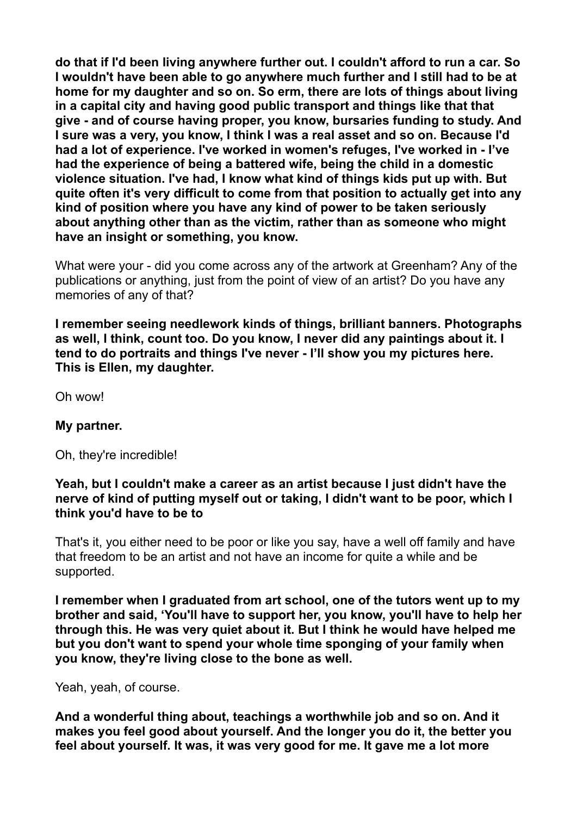**do that if I'd been living anywhere further out. I couldn't afford to run a car. So I wouldn't have been able to go anywhere much further and I still had to be at home for my daughter and so on. So erm, there are lots of things about living in a capital city and having good public transport and things like that that give - and of course having proper, you know, bursaries funding to study. And I sure was a very, you know, I think I was a real asset and so on. Because I'd had a lot of experience. I've worked in women's refuges, I've worked in - I've had the experience of being a battered wife, being the child in a domestic violence situation. I've had, I know what kind of things kids put up with. But quite often it's very difficult to come from that position to actually get into any kind of position where you have any kind of power to be taken seriously about anything other than as the victim, rather than as someone who might have an insight or something, you know.** 

What were your - did you come across any of the artwork at Greenham? Any of the publications or anything, just from the point of view of an artist? Do you have any memories of any of that?

**I remember seeing needlework kinds of things, brilliant banners. Photographs as well, I think, count too. Do you know, I never did any paintings about it. I tend to do portraits and things I've never - I'll show you my pictures here. This is Ellen, my daughter.** 

Oh wow!

# **My partner.**

Oh, they're incredible!

## **Yeah, but I couldn't make a career as an artist because I just didn't have the nerve of kind of putting myself out or taking, I didn't want to be poor, which I think you'd have to be to**

That's it, you either need to be poor or like you say, have a well off family and have that freedom to be an artist and not have an income for quite a while and be supported.

**I remember when I graduated from art school, one of the tutors went up to my brother and said, 'You'll have to support her, you know, you'll have to help her through this. He was very quiet about it. But I think he would have helped me but you don't want to spend your whole time sponging of your family when you know, they're living close to the bone as well.** 

Yeah, yeah, of course.

**And a wonderful thing about, teachings a worthwhile job and so on. And it makes you feel good about yourself. And the longer you do it, the better you feel about yourself. It was, it was very good for me. It gave me a lot more**